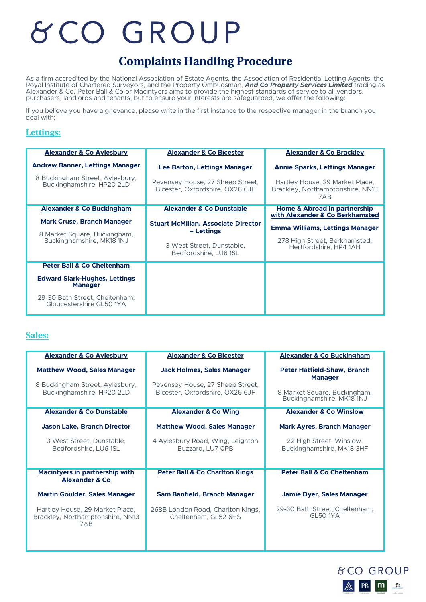# & CO GROUP

## **Complaints Handling Procedure**

As a firm accredited by the National Association of Estate Agents, the Association of Residential Letting Agents, the Royal Institute of Chartered Surveyors, and the Property Ombudsman, *And Co Property Services Limited* trading as Alexander & Co, Peter Ball & Co or Macintyers aims to provide the highest standards of service to all vendors, purchasers, landlords and tenants, but to ensure your interests are safeguarded, we offer the following:

If you believe you have a grievance, please write in the first instance to the respective manager in the branch you deal with:

#### **Lettings:**

| <b>Alexander &amp; Co Aylesbury</b>                                                            | <b>Alexander &amp; Co Bicester</b>                                                                             | <b>Alexander &amp; Co Brackley</b>                                                         |
|------------------------------------------------------------------------------------------------|----------------------------------------------------------------------------------------------------------------|--------------------------------------------------------------------------------------------|
| <b>Andrew Banner, Lettings Manager</b>                                                         | Lee Barton, Lettings Manager                                                                                   | <b>Annie Sparks, Lettings Manager</b>                                                      |
| 8 Buckingham Street, Aylesbury,<br>Buckinghamshire, HP20 2LD                                   | Pevensey House, 27 Sheep Street,<br>Bicester, Oxfordshire, OX26 6JF                                            | Hartley House, 29 Market Place,<br>Brackley, Northamptonshire, NN13<br>7AB                 |
| <b>Alexander &amp; Co Buckingham</b>                                                           | <b>Alexander &amp; Co Dunstable</b>                                                                            | Home & Abroad in partnership<br>with Alexander & Co Berkhamsted                            |
| <b>Mark Cruse, Branch Manager</b><br>8 Market Square, Buckingham,<br>Buckinghamshire, MK18 1NJ | <b>Stuart McMillan, Associate Director</b><br>– Lettings<br>3 West Street, Dunstable,<br>Bedfordshire, LU6 1SL | Emma Williams, Lettings Manager<br>278 High Street, Berkhamsted,<br>Hertfordshire, HP4 1AH |
| <b>Peter Ball &amp; Co Cheltenham</b>                                                          |                                                                                                                |                                                                                            |
| <b>Edward Slark-Hughes, Lettings</b><br><b>Manager</b>                                         |                                                                                                                |                                                                                            |
| 29-30 Bath Street, Cheltenham,<br>Gloucestershire GL50 1YA                                     |                                                                                                                |                                                                                            |

#### **Sales:**

| <b>Alexander &amp; Co Aylesbury</b>                                        | <b>Alexander &amp; Co Bicester</b>                                  | <b>Alexander &amp; Co Buckingham</b>                      |
|----------------------------------------------------------------------------|---------------------------------------------------------------------|-----------------------------------------------------------|
| <b>Matthew Wood, Sales Manager</b>                                         | <b>Jack Holmes, Sales Manager</b>                                   | <b>Peter Hatfield-Shaw, Branch</b><br><b>Manager</b>      |
| 8 Buckingham Street, Aylesbury,<br>Buckinghamshire, HP20 2LD               | Pevensey House, 27 Sheep Street,<br>Bicester, Oxfordshire, OX26 6JF | 8 Market Square, Buckingham,<br>Buckinghamshire, MK18 1NJ |
| <b>Alexander &amp; Co Dunstable</b>                                        | <b>Alexander &amp; Co Wing</b>                                      | <b>Alexander &amp; Co Winslow</b>                         |
| <b>Jason Lake, Branch Director</b>                                         | <b>Matthew Wood, Sales Manager</b>                                  | <b>Mark Ayres, Branch Manager</b>                         |
| 3 West Street, Dunstable,<br>Bedfordshire, LU6 1SL                         | 4 Aylesbury Road, Wing, Leighton<br>Buzzard, LU7 OPB                | 22 High Street, Winslow,<br>Buckinghamshire, MK18 3HF     |
| <b>Macintyers in partnership with</b><br><b>Alexander &amp; Co</b>         | <b>Peter Ball &amp; Co Charlton Kings</b>                           | <b>Peter Ball &amp; Co Cheltenham</b>                     |
| <b>Martin Goulder, Sales Manager</b>                                       | Sam Banfield, Branch Manager                                        | <b>Jamie Dyer, Sales Manager</b>                          |
| Hartley House, 29 Market Place,<br>Brackley, Northamptonshire, NN13<br>7AB | 268B London Road, Charlton Kings,<br>Cheltenham, GL52 6HS           | 29-30 Bath Street, Cheltenham,<br><b>GL50 1YA</b>         |

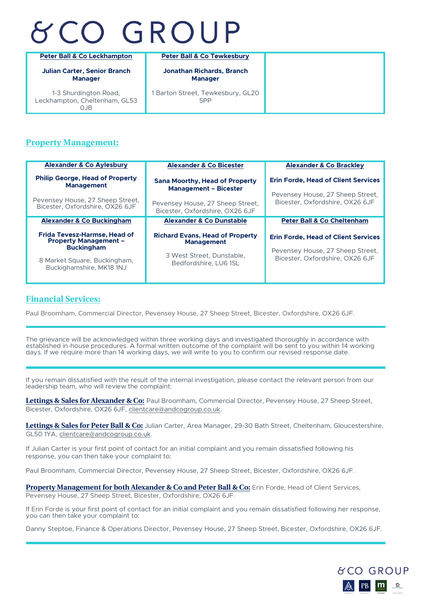# **&CO GROUP**

| <b>Peter Ball &amp; Co Leckhampton</b>                        | <b>Peter Ball &amp; Co Tewkesbury</b>              |
|---------------------------------------------------------------|----------------------------------------------------|
| <b>Julian Carter, Senior Branch</b><br><b>Manager</b>         | <b>Jonathan Richards, Branch</b><br><b>Manager</b> |
| 1-3 Shurdington Road,<br>Leckhampton, Cheltenham, GL53<br>OJB | 1 Barton Street, Tewkesbury, GL20<br>5PP           |

### **Property Management:**

| <b>Alexander &amp; Co Aylesbury</b>                                                                                                                                                   | <b>Alexander &amp; Co Bicester</b>                                                                                                                       | <b>Alexander &amp; Co Brackley</b>                                                                                                                         |
|---------------------------------------------------------------------------------------------------------------------------------------------------------------------------------------|----------------------------------------------------------------------------------------------------------------------------------------------------------|------------------------------------------------------------------------------------------------------------------------------------------------------------|
| <b>Philip George, Head of Property</b><br><b>Management</b><br>Pevensey House, 27 Sheep Street,<br>Bicester, Oxfordshire, OX26 6JF                                                    | <b>Sana Moorthy, Head of Property</b><br><b>Management - Bicester</b><br>Pevensey House, 27 Sheep Street,<br>Bicester, Oxfordshire, OX26 6JF             | <b>Erin Forde, Head of Client Services</b><br>Pevensey House, 27 Sheep Street,<br>Bicester, Oxfordshire, OX26 6JF                                          |
| <b>Alexander &amp; Co Buckingham</b><br>Frida Tevesz-Harmse, Head of<br><b>Property Management -</b><br><b>Buckingham</b><br>8 Market Square, Buckingham,<br>Buckighamshire, MK18 1NJ | <b>Alexander &amp; Co Dunstable</b><br><b>Richard Evans, Head of Property</b><br><b>Management</b><br>3 West Street, Dunstable,<br>Bedfordshire, LU6 1SL | <b>Peter Ball &amp; Co Cheltenham</b><br><b>Erin Forde, Head of Client Services</b><br>Pevensey House, 27 Sheep Street,<br>Bicester, Oxfordshire, OX26 6JF |

### **Financial Services:**

Paul Broomham, Commercial Director, Pevensey House, 27 Sheep Street, Bicester, Oxfordshire, OX26 6JF.

The grievance will be acknowledged within three working days and investigated thoroughly in accordance with established in-house procedures. A formal written outcome of the complaint will be sent to you within 14 working days. If we require more than 14 working days, we will write to you to confirm our revised response date.

If you remain dissatisfied with the result of the internal investigation, please contact the relevant person from our leadership team, who will review the complaint:

**Lettings & Sales for Alexander & Co:** Paul Broomham, Commercial Director, Pevensey House, 27 Sheep Street, Bicester, Oxfordshire, OX26 6JF, clientcare@andcogroup.co.uk.

**Lettings & Sales for Peter Ball & Co:** Julian Carter, Area Manager, 29-30 Bath Street, Cheltenham, Gloucestershire, GL50 1YA, clientcare@andcogroup.co.uk.

If Julian Carter is your first point of contact for an initial complaint and you remain dissatisfied following his response, you can then take your complaint to:

Paul Broomham, Commercial Director, Pevensey House, 27 Sheep Street, Bicester, Oxfordshire, OX26 6JF.

**Property Management for both Alexander & Co and Peter Ball & Co:** Erin Forde, Head of Client Services, Pevensey House, 27 Sheep Street, Bicester, Oxfordshire, OX26 6JF.

If Erin Forde is your first point of contact for an initial complaint and you remain dissatisfied following her response, you can then take your complaint to:

Danny Steptoe, Finance & Operations Director, Pevensey House, 27 Sheep Street, Bicester, Oxfordshire, OX26 6JF.